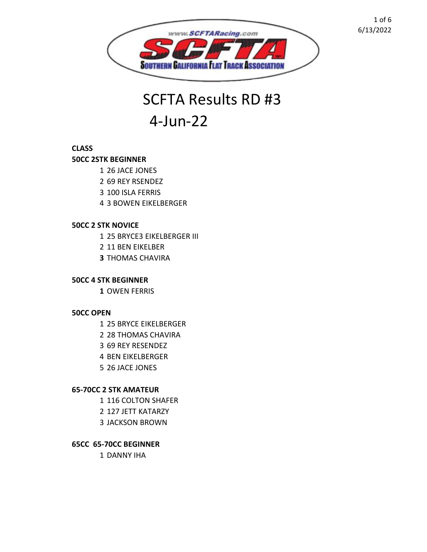

SCFTA Results RD #3 4-Jun-22

### **CLASS**

## **50CC 2STK BEGINNER**

- 26 JACE JONES
- 69 REY RSENDEZ
- 100 ISLA FERRIS
- 3 BOWEN EIKELBERGER

# **50CC 2 STK NOVICE**

25 BRYCE3 EIKELBERGER III

- 11 BEN EIKELBER
- THOMAS CHAVIRA

### **50CC 4 STK BEGINNER**

OWEN FERRIS

### **50CC OPEN**

- 25 BRYCE EIKELBERGER
- 28 THOMAS CHAVIRA
- 69 REY RESENDEZ
- BEN EIKELBERGER
- 26 JACE JONES

# **65-70CC 2 STK AMATEUR**

- 116 COLTON SHAFER
- 127 JETT KATARZY
- JACKSON BROWN

# **65CC 65-70CC BEGINNER**

DANNY IHA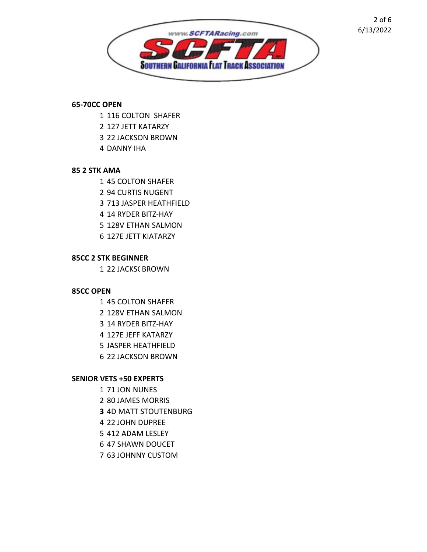2 of 6 6/13/2022



#### **65-70CC OPEN**

- 116 COLTON SHAFER
- 127 JETT KATARZY
- 22 JACKSON BROWN
- DANNY IHA

### **85 2 STK AMA**

- 45 COLTON SHAFER
- 94 CURTIS NUGENT
- 713 JASPER HEATHFIELD
- 14 RYDER BITZ-HAY
- 128V ETHAN SALMON
- 127E JETT KIATARZY

### **85CC 2 STK BEGINNER**

1 22 JACKS(BROWN

### **85CC OPEN**

- 45 COLTON SHAFER
- 128V ETHAN SALMON
- 14 RYDER BITZ-HAY
- 127E JEFF KATARZY
- JASPER HEATHFIELD
- 22 JACKSON BROWN

### **SENIOR VETS +50 EXPERTS**

- 71 JON NUNES
- 80 JAMES MORRIS
- 4D MATT STOUTENBURG
- 22 JOHN DUPREE
- 412 ADAM LESLEY
- 47 SHAWN DOUCET
- 63 JOHNNY CUSTOM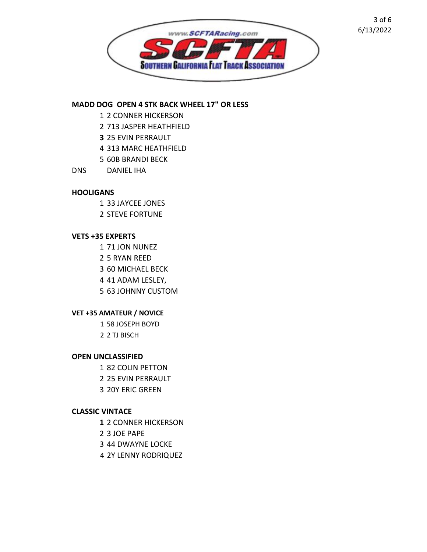

### **MADD DOG OPEN 4 STK BACK WHEEL 17" OR LESS**

- 2 CONNER HICKERSON
- 713 JASPER HEATHFIELD
- 25 EVIN PERRAULT
- 313 MARC HEATHFIELD
- 60B BRANDI BECK
- DNS DANIEL IHA

### **HOOLIGANS**

- 33 JAYCEE JONES
- STEVE FORTUNE

### **VETS +35 EXPERTS**

- 71 JON NUNEZ
- 5 RYAN REED
- 60 MICHAEL BECK
- 41 ADAM LESLEY,
- 63 JOHNNY CUSTOM

### **VET +35 AMATEUR / NOVICE**

- 58 JOSEPH BOYD
- 2 TJ BISCH

### **OPEN UNCLASSIFIED**

- 82 COLIN PETTON
- 25 EVIN PERRAULT
- 20Y ERIC GREEN

### **CLASSIC VINTACE**

- 2 CONNER HICKERSON
- 3 JOE PAPE
- 44 DWAYNE LOCKE
- 2Y LENNY RODRIQUEZ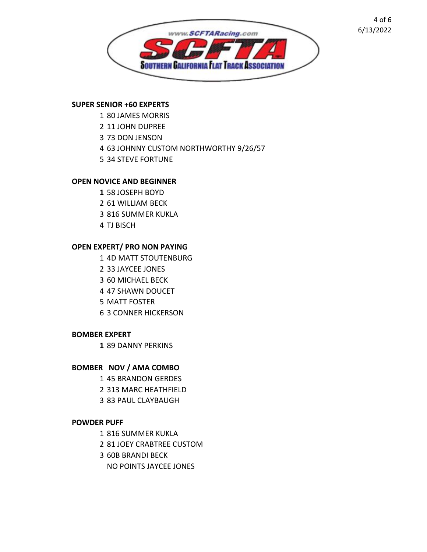

#### **SUPER SENIOR +60 EXPERTS**

- 80 JAMES MORRIS
- 11 JOHN DUPREE
- 73 DON JENSON
- 63 JOHNNY CUSTOM NORTHWORTHY 9/26/57
- 34 STEVE FORTUNE

## **OPEN NOVICE AND BEGINNER**

- 58 JOSEPH BOYD 61 WILLIAM BECK 816 SUMMER KUKLA
- TJ BISCH

## **OPEN EXPERT/ PRO NON PAYING**

- 4D MATT STOUTENBURG
- 33 JAYCEE JONES
- 60 MICHAEL BECK
- 47 SHAWN DOUCET
- MATT FOSTER
- 3 CONNER HICKERSON

### **BOMBER EXPERT**

89 DANNY PERKINS

# **BOMBER NOV / AMA COMBO**

- 45 BRANDON GERDES
- 313 MARC HEATHFIELD
- 83 PAUL CLAYBAUGH

### **POWDER PUFF**

- 816 SUMMER KUKLA
- 81 JOEY CRABTREE CUSTOM
- 60B BRANDI BECK
	- NO POINTS JAYCEE JONES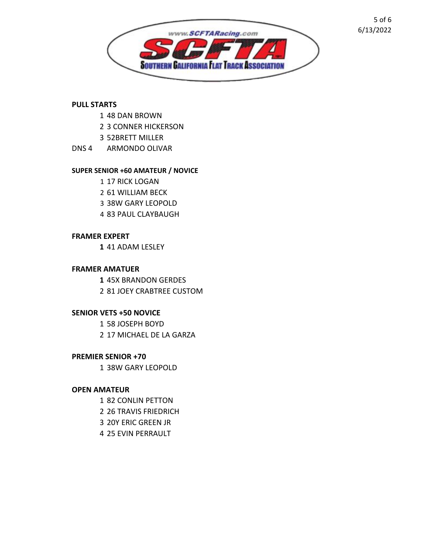

#### **PULL STARTS**

- 48 DAN BROWN
- 3 CONNER HICKERSON
- 52BRETT MILLER
- DNS 4 ARMONDO OLIVAR

#### **SUPER SENIOR +60 AMATEUR / NOVICE**

- 17 RICK LOGAN
- 61 WILLIAM BECK
- 38W GARY LEOPOLD
- 83 PAUL CLAYBAUGH

#### **FRAMER EXPERT**

41 ADAM LESLEY

#### **FRAMER AMATUER**

 45X BRANDON GERDES 81 JOEY CRABTREE CUSTOM

### **SENIOR VETS +50 NOVICE**

 58 JOSEPH BOYD 17 MICHAEL DE LA GARZA

#### **PREMIER SENIOR +70**

38W GARY LEOPOLD

#### **OPEN AMATEUR**

- 82 CONLIN PETTON
- 26 TRAVIS FRIEDRICH
- 20Y ERIC GREEN JR
- 25 EVIN PERRAULT